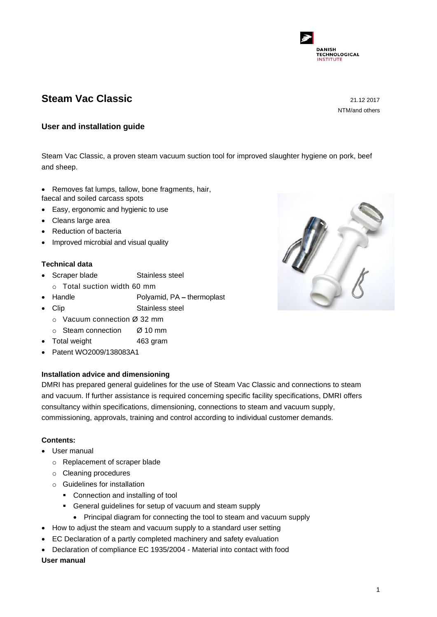

# **Steam Vac Classic** 21.12 2017

NTM/and others

## **User and installation guide**

Steam Vac Classic, a proven steam vacuum suction tool for improved slaughter hygiene on pork, beef and sheep.

- Removes fat lumps, tallow, bone fragments, hair,
- faecal and soiled carcass spots
- Easy, ergonomic and hygienic to use
- Cleans large area
- Reduction of bacteria
- Improved microbial and visual quality

# **Technical data**

- Scraper blade Stainless steel
	- o Total suction width 60 mm
- Handle Polyamid, PA **–** thermoplast
- Clip Stainless steel
	- o Vacuum connection Ø 32 mm
	- o Steam connection Ø 10 mm
- Total weight 463 gram
- Patent WO2009/138083A1

## **Installation advice and dimensioning**

DMRI has prepared general guidelines for the use of Steam Vac Classic and connections to steam and vacuum. If further assistance is required concerning specific facility specifications, DMRI offers consultancy within specifications, dimensioning, connections to steam and vacuum supply, commissioning, approvals, training and control according to individual customer demands.

## **Contents:**

- User manual
	- o Replacement of scraper blade
	- o Cleaning procedures
	- o Guidelines for installation
		- Connection and installing of tool
		- General guidelines for setup of vacuum and steam supply
			- Principal diagram for connecting the tool to steam and vacuum supply
- How to adjust the steam and vacuum supply to a standard user setting
- EC Declaration of a partly completed machinery and safety evaluation
- Declaration of compliance EC 1935/2004 Material into contact with food

### **User manual**

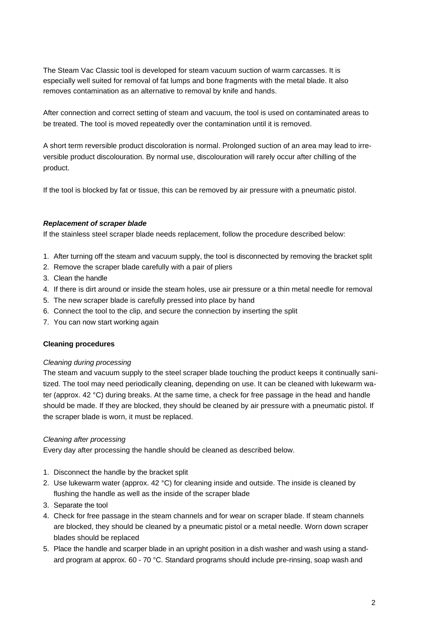The Steam Vac Classic tool is developed for steam vacuum suction of warm carcasses. It is especially well suited for removal of fat lumps and bone fragments with the metal blade. It also removes contamination as an alternative to removal by knife and hands.

After connection and correct setting of steam and vacuum, the tool is used on contaminated areas to be treated. The tool is moved repeatedly over the contamination until it is removed.

A short term reversible product discoloration is normal. Prolonged suction of an area may lead to irreversible product discolouration. By normal use, discolouration will rarely occur after chilling of the product.

If the tool is blocked by fat or tissue, this can be removed by air pressure with a pneumatic pistol.

### *Replacement of scraper blade*

If the stainless steel scraper blade needs replacement, follow the procedure described below:

- 1. After turning off the steam and vacuum supply, the tool is disconnected by removing the bracket split
- 2. Remove the scraper blade carefully with a pair of pliers
- 3. Clean the handle
- 4. If there is dirt around or inside the steam holes, use air pressure or a thin metal needle for removal
- 5. The new scraper blade is carefully pressed into place by hand
- 6. Connect the tool to the clip, and secure the connection by inserting the split
- 7. You can now start working again

### **Cleaning procedures**

### *Cleaning during processing*

The steam and vacuum supply to the steel scraper blade touching the product keeps it continually sanitized. The tool may need periodically cleaning, depending on use. It can be cleaned with lukewarm water (approx. 42 °C) during breaks. At the same time, a check for free passage in the head and handle should be made. If they are blocked, they should be cleaned by air pressure with a pneumatic pistol. If the scraper blade is worn, it must be replaced.

### *Cleaning after processing*

Every day after processing the handle should be cleaned as described below.

- 1. Disconnect the handle by the bracket split
- 2. Use lukewarm water (approx.  $42 \text{ }^{\circ}\text{C}$ ) for cleaning inside and outside. The inside is cleaned by flushing the handle as well as the inside of the scraper blade
- 3. Separate the tool
- 4. Check for free passage in the steam channels and for wear on scraper blade. If steam channels are blocked, they should be cleaned by a pneumatic pistol or a metal needle. Worn down scraper blades should be replaced
- 5. Place the handle and scarper blade in an upright position in a dish washer and wash using a standard program at approx. 60 - 70 °C. Standard programs should include pre-rinsing, soap wash and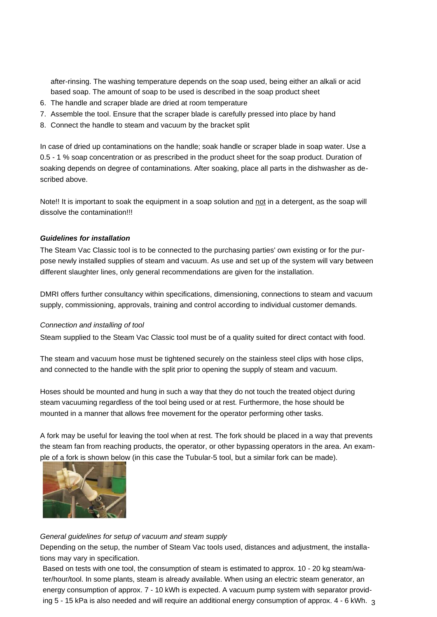after-rinsing. The washing temperature depends on the soap used, being either an alkali or acid based soap. The amount of soap to be used is described in the soap product sheet

- 6. The handle and scraper blade are dried at room temperature
- 7. Assemble the tool. Ensure that the scraper blade is carefully pressed into place by hand
- 8. Connect the handle to steam and vacuum by the bracket split

In case of dried up contaminations on the handle; soak handle or scraper blade in soap water. Use a 0.5 - 1 % soap concentration or as prescribed in the product sheet for the soap product. Duration of soaking depends on degree of contaminations. After soaking, place all parts in the dishwasher as described above.

Note!! It is important to soak the equipment in a soap solution and not in a detergent, as the soap will dissolve the contamination!!!

## *Guidelines for installation*

The Steam Vac Classic tool is to be connected to the purchasing parties' own existing or for the purpose newly installed supplies of steam and vacuum. As use and set up of the system will vary between different slaughter lines, only general recommendations are given for the installation.

DMRI offers further consultancy within specifications, dimensioning, connections to steam and vacuum supply, commissioning, approvals, training and control according to individual customer demands.

#### *Connection and installing of tool*

Steam supplied to the Steam Vac Classic tool must be of a quality suited for direct contact with food.

The steam and vacuum hose must be tightened securely on the stainless steel clips with hose clips, and connected to the handle with the split prior to opening the supply of steam and vacuum.

Hoses should be mounted and hung in such a way that they do not touch the treated object during steam vacuuming regardless of the tool being used or at rest. Furthermore, the hose should be mounted in a manner that allows free movement for the operator performing other tasks.

A fork may be useful for leaving the tool when at rest. The fork should be placed in a way that prevents the steam fan from reaching products, the operator, or other bypassing operators in the area. An example of a fork is shown below (in this case the Tubular-5 tool, but a similar fork can be made).



#### *General guidelines for setup of vacuum and steam supply*

Depending on the setup, the number of Steam Vac tools used, distances and adjustment, the installations may vary in specification.

ing 5 - 15 kPa is also needed and will require an additional energy consumption of approx. 4 - 6 kWh.  $\,{}_{3}$ Based on tests with one tool, the consumption of steam is estimated to approx. 10 - 20 kg steam/water/hour/tool. In some plants, steam is already available. When using an electric steam generator, an energy consumption of approx. 7 - 10 kWh is expected. A vacuum pump system with separator provid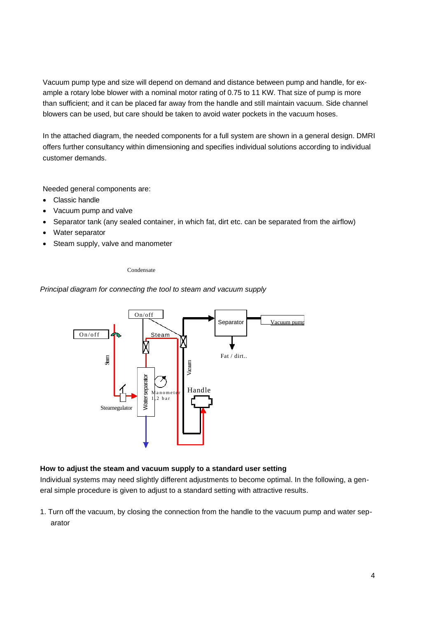Vacuum pump type and size will depend on demand and distance between pump and handle, for example a rotary lobe blower with a nominal motor rating of 0.75 to 11 KW. That size of pump is more than sufficient; and it can be placed far away from the handle and still maintain vacuum. Side channel blowers can be used, but care should be taken to avoid water pockets in the vacuum hoses.

In the attached diagram, the needed components for a full system are shown in a general design. DMRI offers further consultancy within dimensioning and specifies individual solutions according to individual customer demands.

Needed general components are:

- Classic handle
- Vacuum pump and valve
- Separator tank (any sealed container, in which fat, dirt etc. can be separated from the airflow)
- Water separator
- Steam supply, valve and manometer

Condensate

*Principal diagram for connecting the tool to steam and vacuum supply*



### **How to adjust the steam and vacuum supply to a standard user setting**

Individual systems may need slightly different adjustments to become optimal. In the following, a general simple procedure is given to adjust to a standard setting with attractive results.

1. Turn off the vacuum, by closing the connection from the handle to the vacuum pump and water separator